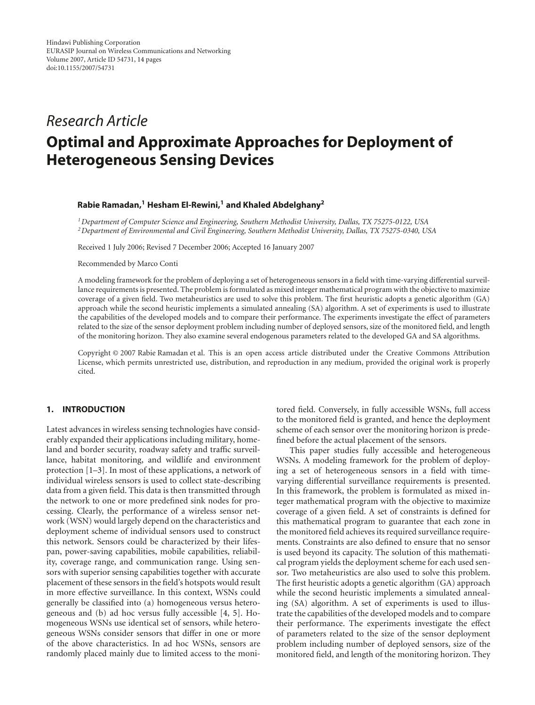# *Research Article* **Optimal and Approximate Approaches for Deployment of Heterogeneous Sensing Devices**

# **Rabie Ramadan,1 Hesham El-Rewini,1 and Khaled Abdelghany2**

*1Department of Computer Science and Engineering, Southern Methodist University, Dallas, TX 75275-0122, USA 2Department of Environmental and Civil Engineering, Southern Methodist University, Dallas, TX 75275-0340, USA*

Received 1 July 2006; Revised 7 December 2006; Accepted 16 January 2007

Recommended by Marco Conti

A modeling framework for the problem of deploying a set of heterogeneous sensors in a field with time-varying differential surveillance requirements is presented. The problem is formulated as mixed integer mathematical program with the objective to maximize coverage of a given field. Two metaheuristics are used to solve this problem. The first heuristic adopts a genetic algorithm (GA) approach while the second heuristic implements a simulated annealing (SA) algorithm. A set of experiments is used to illustrate the capabilities of the developed models and to compare their performance. The experiments investigate the effect of parameters related to the size of the sensor deployment problem including number of deployed sensors, size of the monitored field, and length of the monitoring horizon. They also examine several endogenous parameters related to the developed GA and SA algorithms.

Copyright © 2007 Rabie Ramadan et al. This is an open access article distributed under the Creative Commons Attribution License, which permits unrestricted use, distribution, and reproduction in any medium, provided the original work is properly cited.

# **1. INTRODUCTION**

Latest advances in wireless sensing technologies have considerably expanded their applications including military, homeland and border security, roadway safety and traffic surveillance, habitat monitoring, and wildlife and environment protection [\[1](#page-12-1)[–3](#page-12-2)]. In most of these applications, a network of individual wireless sensors is used to collect state-describing data from a given field. This data is then transmitted through the network to one or more predefined sink nodes for processing. Clearly, the performance of a wireless sensor network (WSN) would largely depend on the characteristics and deployment scheme of individual sensors used to construct this network. Sensors could be characterized by their lifespan, power-saving capabilities, mobile capabilities, reliability, coverage range, and communication range. Using sensors with superior sensing capabilities together with accurate placement of these sensors in the field's hotspots would result in more effective surveillance. In this context, WSNs could generally be classified into (a) homogeneous versus heterogeneous and (b) ad hoc versus fully accessible [\[4](#page-12-3), [5](#page-12-4)]. Homogeneous WSNs use identical set of sensors, while heterogeneous WSNs consider sensors that differ in one or more of the above characteristics. In ad hoc WSNs, sensors are randomly placed mainly due to limited access to the monitored field. Conversely, in fully accessible WSNs, full access to the monitored field is granted, and hence the deployment scheme of each sensor over the monitoring horizon is predefined before the actual placement of the sensors.

This paper studies fully accessible and heterogeneous WSNs. A modeling framework for the problem of deploying a set of heterogeneous sensors in a field with timevarying differential surveillance requirements is presented. In this framework, the problem is formulated as mixed integer mathematical program with the objective to maximize coverage of a given field. A set of constraints is defined for this mathematical program to guarantee that each zone in the monitored field achieves its required surveillance requirements. Constraints are also defined to ensure that no sensor is used beyond its capacity. The solution of this mathematical program yields the deployment scheme for each used sensor. Two metaheuristics are also used to solve this problem. The first heuristic adopts a genetic algorithm (GA) approach while the second heuristic implements a simulated annealing (SA) algorithm. A set of experiments is used to illustrate the capabilities of the developed models and to compare their performance. The experiments investigate the effect of parameters related to the size of the sensor deployment problem including number of deployed sensors, size of the monitored field, and length of the monitoring horizon. They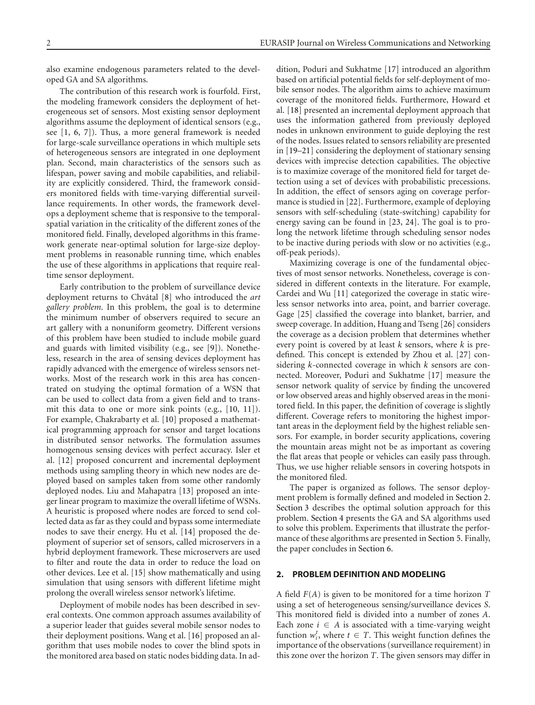also examine endogenous parameters related to the developed GA and SA algorithms.

The contribution of this research work is fourfold. First, the modeling framework considers the deployment of heterogeneous set of sensors. Most existing sensor deployment algorithms assume the deployment of identical sensors (e.g., see [\[1,](#page-12-1) [6,](#page-12-5) [7\]](#page-12-6)). Thus, a more general framework is needed for large-scale surveillance operations in which multiple sets of heterogeneous sensors are integrated in one deployment plan. Second, main characteristics of the sensors such as lifespan, power saving and mobile capabilities, and reliability are explicitly considered. Third, the framework considers monitored fields with time-varying differential surveillance requirements. In other words, the framework develops a deployment scheme that is responsive to the temporalspatial variation in the criticality of the different zones of the monitored field. Finally, developed algorithms in this framework generate near-optimal solution for large-size deployment problems in reasonable running time, which enables the use of these algorithms in applications that require realtime sensor deployment.

Early contribution to the problem of surveillance device deployment returns to Chvátal [[8](#page-12-7)] who introduced the *art gallery problem*. In this problem, the goal is to determine the minimum number of observers required to secure an art gallery with a nonuniform geometry. Different versions of this problem have been studied to include mobile guard and guards with limited visibility (e.g., see [\[9\]](#page-12-8)). Nonetheless, research in the area of sensing devices deployment has rapidly advanced with the emergence of wireless sensors networks. Most of the research work in this area has concentrated on studying the optimal formation of a WSN that can be used to collect data from a given field and to transmit this data to one or more sink points (e.g., [\[10](#page-12-9), [11](#page-12-10)]). For example, Chakrabarty et al. [\[10\]](#page-12-9) proposed a mathematical programming approach for sensor and target locations in distributed sensor networks. The formulation assumes homogenous sensing devices with perfect accuracy. Isler et al. [\[12](#page-12-11)] proposed concurrent and incremental deployment methods using sampling theory in which new nodes are deployed based on samples taken from some other randomly deployed nodes. Liu and Mahapatra [\[13\]](#page-13-0) proposed an integer linear program to maximize the overall lifetime of WSNs. A heuristic is proposed where nodes are forced to send collected data as far as they could and bypass some intermediate nodes to save their energy. Hu et al. [\[14\]](#page-13-1) proposed the deployment of superior set of sensors, called microservers in a hybrid deployment framework. These microservers are used to filter and route the data in order to reduce the load on other devices. Lee et al. [\[15](#page-13-2)] show mathematically and using simulation that using sensors with different lifetime might prolong the overall wireless sensor network's lifetime.

Deployment of mobile nodes has been described in several contexts. One common approach assumes availability of a superior leader that guides several mobile sensor nodes to their deployment positions. Wang et al. [\[16\]](#page-13-3) proposed an algorithm that uses mobile nodes to cover the blind spots in the monitored area based on static nodes bidding data. In addition, Poduri and Sukhatme [\[17](#page-13-4)] introduced an algorithm based on artificial potential fields for self-deployment of mobile sensor nodes. The algorithm aims to achieve maximum coverage of the monitored fields. Furthermore, Howard et al. [\[18](#page-13-5)] presented an incremental deployment approach that uses the information gathered from previously deployed nodes in unknown environment to guide deploying the rest of the nodes. Issues related to sensors reliability are presented in [\[19](#page-13-6)[–21](#page-13-7)] considering the deployment of stationary sensing devices with imprecise detection capabilities. The objective is to maximize coverage of the monitored field for target detection using a set of devices with probabilistic precessions. In addition, the effect of sensors aging on coverage performance is studied in [\[22](#page-13-8)]. Furthermore, example of deploying sensors with self-scheduling (state-switching) capability for energy saving can be found in [\[23](#page-13-9), [24](#page-13-10)]. The goal is to prolong the network lifetime through scheduling sensor nodes to be inactive during periods with slow or no activities (e.g., off-peak periods).

Maximizing coverage is one of the fundamental objectives of most sensor networks. Nonetheless, coverage is considered in different contexts in the literature. For example, Cardei and Wu [\[11](#page-12-10)] categorized the coverage in static wireless sensor networks into area, point, and barrier coverage. Gage [\[25\]](#page-13-11) classified the coverage into blanket, barrier, and sweep coverage. In addition, Huang and Tseng [\[26](#page-13-12)] considers the coverage as a decision problem that determines whether every point is covered by at least *k* sensors, where *k* is predefined. This concept is extended by Zhou et al. [\[27\]](#page-13-13) considering *k*-connected coverage in which *k* sensors are connected. Moreover, Poduri and Sukhatme [\[17](#page-13-4)] measure the sensor network quality of service by finding the uncovered or low observed areas and highly observed areas in the monitored field. In this paper, the definition of coverage is slightly different. Coverage refers to monitoring the highest important areas in the deployment field by the highest reliable sensors. For example, in border security applications, covering the mountain areas might not be as important as covering the flat areas that people or vehicles can easily pass through. Thus, we use higher reliable sensors in covering hotspots in the monitored filed.

The paper is organized as follows. The sensor deployment problem is formally defined and modeled in [Section 2.](#page-1-0) [Section 3](#page-2-0) describes the optimal solution approach for this problem. [Section 4](#page-3-0) presents the GA and SA algorithms used to solve this problem. Experiments that illustrate the performance of these algorithms are presented in [Section 5.](#page-6-0) Finally, the paper concludes in [Section 6.](#page-12-12)

# <span id="page-1-0"></span>**2. PROBLEM DEFINITION AND MODELING**

A field *F*(*A*) is given to be monitored for a time horizon *T* using a set of heterogeneous sensing/surveillance devices *S*. This monitored field is divided into a number of zones *A*. Each zone  $i \in A$  is associated with a time-varying weight function  $w_i^t$ , where  $t \in T$ . This weight function defines the importance of the observations (surveillance requirement) in this zone over the horizon *T*. The given sensors may differ in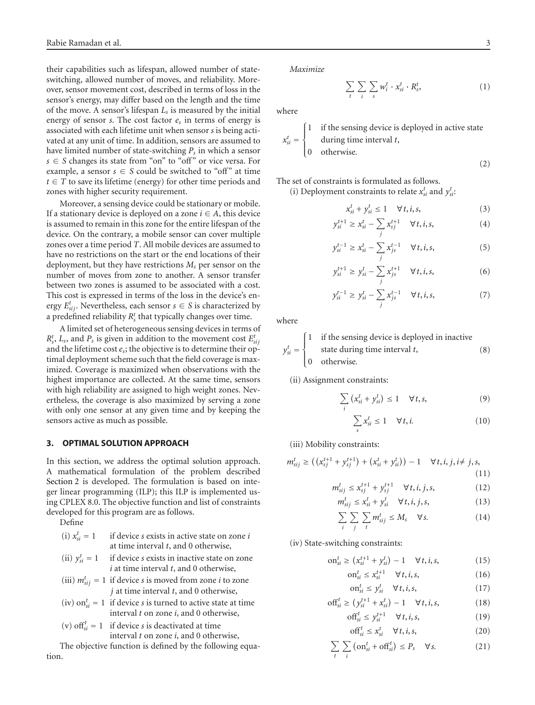their capabilities such as lifespan, allowed number of stateswitching, allowed number of moves, and reliability. Moreover, sensor movement cost, described in terms of loss in the sensor's energy, may differ based on the length and the time of the move. A sensor's lifespan *Ls* is measured by the initial energy of sensor *s*. The cost factor *es* in terms of energy is associated with each lifetime unit when sensor *s* is being activated at any unit of time. In addition, sensors are assumed to have limited number of state-switching *Ps* in which a sensor *<sup>s</sup>* <sup>∈</sup> *<sup>S</sup>* changes its state from "on" to "off" or vice versa. For example, a sensor  $s \in S$  could be switched to "off" at time  $t \in T$  to save its lifetime (energy) for other time periods and zones with higher security requirement.

Moreover, a sensing device could be stationary or mobile. If a stationary device is deployed on a zone  $i \in A$ , this device is assumed to remain in this zone for the entire lifespan of the device. On the contrary, a mobile sensor can cover multiple zones over a time period *T*. All mobile devices are assumed to have no restrictions on the start or the end locations of their deployment, but they have restrictions *Ms* per sensor on the number of moves from zone to another. A sensor transfer between two zones is assumed to be associated with a cost. This cost is expressed in terms of the loss in the device's energy  $E_{sij}^t$ . Nevertheless, each sensor  $s \in S$  is characterized by a predefined reliability  $R_s^t$  that typically changes over time.

A limited set of heterogeneous sensing devices in terms of  $R_s^t$ ,  $L_s$ , and  $P_s$  is given in addition to the movement cost  $E_{si}^t$ and the lifetime cost *es*; the objective is to determine their optimal deployment scheme such that the field coverage is maximized. Coverage is maximized when observations with the highest importance are collected. At the same time, sensors with high reliability are assigned to high weight zones. Nevertheless, the coverage is also maximized by serving a zone with only one sensor at any given time and by keeping the sensors active as much as possible.

# <span id="page-2-0"></span>**3. OPTIMAL SOLUTION APPROACH**

In this section, we address the optimal solution approach. A mathematical formulation of the problem described [Section 2](#page-1-0) is developed. The formulation is based on integer linear programming (ILP); this ILP is implemented using CPLEX 8.0. The objective function and list of constraints developed for this program are as follows.

Define

- (i)  $x_{si}^t = 1$ *if device s exists in active state on zone <i>i* at time interval *t*, and 0 otherwise,
- (ii)  $y_{si}^{t} = 1$ *if device s exists in inactive state on zone i* at time interval *t*, and 0 otherwise,
- (iii)  $m_{sij}^t = 1$  if device *s* is moved from zone *i* to zone *j* at time interval *t*, and 0 otherwise,
- (iv) on $_{si}^{t} = 1$  if device *s* is turned to active state at time interval *t* on zone *i*, and 0 otherwise,
- (v) off  $f_{si}^t = 1$  if device *s* is deactivated at time interval *t* on zone *i*, and 0 otherwise,

The objective function is defined by the following equation.

*Maximize*

<span id="page-2-1"></span>
$$
\sum_{t} \sum_{i} \sum_{s} w_i^t \cdot x_{si}^t \cdot R_s^t, \tag{1}
$$

where

$$
x_{si}^t = \begin{cases} 1 & \text{if the sensing device is deployed in active state} \\ 0 & \text{otherwise.} \end{cases}
$$
\n(2)

The set of constraints is formulated as follows.

(i) Deployment constraints to relate  $x_{si}^t$  and  $y_{si}^t$ .

<span id="page-2-3"></span><span id="page-2-2"></span>
$$
x_{si}^t + y_{si}^t \le 1 \quad \forall t, i, s,
$$
\n<sup>(3)</sup>

$$
y_{si}^{t+1} \ge x_{si}^t - \sum_j x_{sj}^{t+1} \quad \forall t, i, s,
$$
 (4)

$$
y_{si}^{t-1} \ge x_{si}^t - \sum_j x_{js}^{t-1} \quad \forall t, i, s,
$$
 (5)

$$
y_{si}^{t+1} \ge y_{si}^t - \sum_{i} x_{js}^{t+1} \quad \forall t, i, s,
$$
 (6)

<span id="page-2-4"></span>
$$
y_{si}^{t-1} \ge y_{si}^t - \sum_j x_{js}^{t-1} \quad \forall t, i, s,
$$
 (7)

where

|  | if the sensing device is deployed in inactive      |     |  |  |  |
|--|----------------------------------------------------|-----|--|--|--|
|  | $y_{si}^t = \left\{$ state during time interval t, | (8) |  |  |  |
|  | 10 otherwise.                                      |     |  |  |  |

(ii) Assignment constraints:

$$
\sum_{i} \left( x_{si}^{t} + y_{si}^{t} \right) \le 1 \quad \forall t, s,
$$
\n(9)

<span id="page-2-7"></span><span id="page-2-6"></span><span id="page-2-5"></span>
$$
\sum_{s} x_{si}^{t} \le 1 \quad \forall t, i. \tag{10}
$$

(iii) Mobility constraints:

$$
m_{sij}^{t} \geq \left( \left( x_{sj}^{t+1} + y_{sj}^{t+1} \right) + \left( x_{si}^{t} + y_{si}^{t} \right) \right) - 1 \quad \forall t, i, j, i \neq j, s,
$$
\n(11)

$$
m_{sij}^t \le x_{sj}^{t+1} + y_{sj}^{t+1} \quad \forall t, i, j, s,
$$
 (12)

<span id="page-2-10"></span><span id="page-2-9"></span><span id="page-2-8"></span>
$$
m_{sij}^t \le x_{si}^t + y_{si}^t \quad \forall t, i, j, s,
$$
\n(13)

$$
\sum_{i} \sum_{j} \sum_{t} m_{sij}^{t} \le M_s \quad \forall s. \tag{14}
$$

(iv) State-switching constraints:

$$
\text{on}_{si}^{t} \ge (x_{si}^{t+1} + y_{si}^{t}) - 1 \quad \forall t, i, s,
$$
 (15)

<span id="page-2-11"></span>
$$
\text{on}_{si}^t \le x_{si}^{t+1} \quad \forall t, i, s,
$$
 (16)

 $\text{on}_{si}^t$  ≤  $y_{si}^t$  ∀*t*, *i*, *s*, (17)

$$
\text{off}_{si}^{t} \ge (y_{si}^{t+1} + x_{si}^{t}) - 1 \quad \forall t, i, s,
$$
\n(18)

<span id="page-2-13"></span><span id="page-2-12"></span>
$$
\text{off}_{si}^{t} \leq y_{si}^{t+1} \quad \forall t, i, s,
$$
\n
$$
(19)
$$

$$
\text{off}_{si}^t \le x_{si}^t \quad \forall \, t, i, s,
$$
\n<sup>(20)</sup>

$$
\sum_{t} \sum_{i} (\text{on}_{si}^{t} + \text{off}_{si}^{t}) \le P_{s} \quad \forall s.
$$
 (21)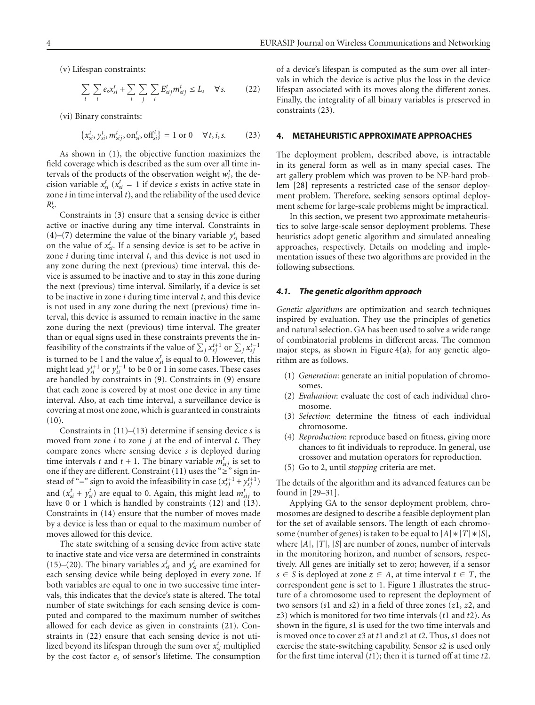(v) Lifespan constraints:

$$
\sum_{t} \sum_{i} e_{s} x_{si}^{t} + \sum_{i} \sum_{j} \sum_{t} E_{sij}^{t} m_{sij}^{t} \le L_{s} \quad \forall s.
$$
 (22)

(vi) Binary constraints:

$$
\{x_{si}^t, y_{si}^t, m_{sij}^t, \text{on}_{si}^t, \text{off}_{si}^t\} = 1 \text{ or } 0 \quad \forall t, i, s. \tag{23}
$$

As shown in [\(1\)](#page-2-1), the objective function maximizes the field coverage which is described as the sum over all time intervals of the products of the observation weight  $w_i^t$ , the decision variable  $x_{si}^t$  ( $x_{si}^t = 1$  if device *s* exists in active state in zone *i* in time interval *t*), and the reliability of the used device *Rt s*.

Constraints in [\(3\)](#page-2-2) ensure that a sensing device is either active or inactive during any time interval. Constraints in [\(4\)](#page-2-3)–[\(7\)](#page-2-4) determine the value of the binary variable  $y_{si}^t$  based on the value of  $x_{si}^t$ . If a sensing device is set to be active in zone *i* during time interval *t*, and this device is not used in any zone during the next (previous) time interval, this device is assumed to be inactive and to stay in this zone during the next (previous) time interval. Similarly, if a device is set to be inactive in zone *i* during time interval *t*, and this device is not used in any zone during the next (previous) time interval, this device is assumed to remain inactive in the same zone during the next (previous) time interval. The greater than or equal signs used in these constraints prevents the infeasibility of the constraints if the value of  $\sum_{i=1}^{1} x_{si}^{t+1}$  or  $\sum_{i=1}^{1} x_{si}^{t-1}$ is turned to be 1 and the value  $x_{si}^t$  is equal to 0. However, this might lead  $y_{si}^{t+1}$  or  $y_{si}^{t-1}$  to be 0 or 1 in some cases. These cases are handled by constraints in [\(9\)](#page-2-5). Constraints in [\(9\)](#page-2-5) ensure that each zone is covered by at most one device in any time interval. Also, at each time interval, a surveillance device is covering at most one zone, which is guaranteed in constraints  $(10).$  $(10).$ 

Constraints in [\(11\)](#page-2-7)–[\(13\)](#page-2-8) determine if sensing device *s* is moved from zone *i* to zone *j* at the end of interval *t*. They compare zones where sensing device *s* is deployed during time intervals *t* and  $t + 1$ . The binary variable  $m_{sij}^t$  is set to one if they are different. Constraint [\(11\)](#page-2-7) uses the " $\geq$ " sign instead of "=" sign to avoid the infeasibility in case  $(x_{si}^{t+1} + y_{si}^{t+1})$ and  $(x_{si}^t + y_{si}^t)$  are equal to 0. Again, this might lead  $m_{si}^t$  to have 0 or 1 which is handled by constraints  $(12)$  and  $(13)$ . Constraints in [\(14\)](#page-2-10) ensure that the number of moves made by a device is less than or equal to the maximum number of moves allowed for this device.

The state switching of a sensing device from active state to inactive state and vice versa are determined in constraints [\(15\)](#page-2-11)–[\(20\)](#page-2-12). The binary variables  $x_{si}^t$  and  $y_{si}^t$  are examined for each sensing device while being deployed in every zone. If both variables are equal to one in two successive time intervals, this indicates that the device's state is altered. The total number of state switchings for each sensing device is computed and compared to the maximum number of switches allowed for each device as given in constraints [\(21\)](#page-2-13). Constraints in [\(22\)](#page-3-1) ensure that each sensing device is not utilized beyond its lifespan through the sum over *xt si* multiplied by the cost factor *es* of sensor's lifetime. The consumption

<span id="page-3-1"></span>of a device's lifespan is computed as the sum over all intervals in which the device is active plus the loss in the device lifespan associated with its moves along the different zones. Finally, the integrality of all binary variables is preserved in constraints [\(23\)](#page-3-2).

#### <span id="page-3-2"></span><span id="page-3-0"></span>**4. METAHEURISTIC APPROXIMATE APPROACHES**

The deployment problem, described above, is intractable in its general form as well as in many special cases. The art gallery problem which was proven to be NP-hard problem [\[28\]](#page-13-14) represents a restricted case of the sensor deployment problem. Therefore, seeking sensors optimal deployment scheme for large-scale problems might be impractical.

In this section, we present two approximate metaheuristics to solve large-scale sensor deployment problems. These heuristics adopt genetic algorithm and simulated annealing approaches, respectively. Details on modeling and implementation issues of these two algorithms are provided in the following subsections.

#### *4.1. The genetic algorithm approach*

*Genetic algorithms* are optimization and search techniques inspired by evaluation. They use the principles of genetics and natural selection. GA has been used to solve a wide range of combinatorial problems in different areas. The common major steps, as shown in [Figure 4\(a\),](#page-4-0) for any genetic algorithm are as follows.

- (1) *Generation*: generate an initial population of chromosomes.
- (2) *Evaluation*: evaluate the cost of each individual chromosome.
- (3) *Selection*: determine the fitness of each individual chromosome.
- (4) *Reproduction*: reproduce based on fitness, giving more chances to fit individuals to reproduce. In general, use crossover and mutation operators for reproduction.
- (5) Go to 2, until *stopping* criteria are met.

The details of the algorithm and its advanced features can be found in [\[29](#page-13-15)[–31\]](#page-13-16).

Applying GA to the sensor deployment problem, chromosomes are designed to describe a feasible deployment plan for the set of available sensors. The length of each chromosome (number of genes) is taken to be equal to <sup>|</sup>*A*|∗|*T*|∗|*S*|, where <sup>|</sup>*A*|, <sup>|</sup>*T*|, <sup>|</sup>*S*<sup>|</sup> are number of zones, number of intervals in the monitoring horizon, and number of sensors, respectively. All genes are initially set to zero; however, if a sensor *s* ∈ *S* is deployed at zone  $z$  ∈ *A*, at time interval  $t$  ∈ *T*, the correspondent gene is set to 1. [Figure 1](#page-4-1) illustrates the structure of a chromosome used to represent the deployment of two sensors (*s*1 and *s*2) in a field of three zones (*z*1, *z*2, and *z*3) which is monitored for two time intervals (*t*1 and *t*2). As shown in the figure, *s*1 is used for the two time intervals and is moved once to cover *z*3 at *t*1 and *z*1 at *t*2. Thus, *s*1 does not exercise the state-switching capability. Sensor *s*2 is used only for the first time interval (*t*1); then it is turned off at time *t*2.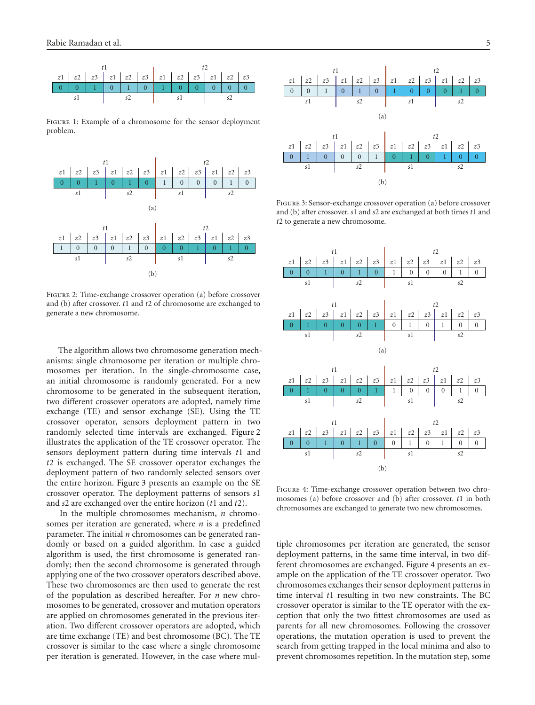

<span id="page-4-1"></span>Figure 1: Example of a chromosome for the sensor deployment problem.



<span id="page-4-2"></span>Figure 2: Time-exchange crossover operation (a) before crossover and (b) after crossover. *t*1 and *t*2 of chromosome are exchanged to generate a new chromosome.

The algorithm allows two chromosome generation mechanisms: single chromosome per iteration or multiple chromosomes per iteration. In the single-chromosome case, an initial chromosome is randomly generated. For a new chromosome to be generated in the subsequent iteration, two different crossover operators are adopted, namely time exchange (TE) and sensor exchange (SE). Using the TE crossover operator, sensors deployment pattern in two randomly selected time intervals are exchanged. [Figure 2](#page-4-2) illustrates the application of the TE crossover operator. The sensors deployment pattern during time intervals *t*1 and *t*2 is exchanged. The SE crossover operator exchanges the deployment pattern of two randomly selected sensors over the entire horizon. [Figure 3](#page-4-3) presents an example on the SE crossover operator. The deployment patterns of sensors *s*1 and *s*2 are exchanged over the entire horizon (*t*1 and *t*2).

In the multiple chromosomes mechanism, *n* chromosomes per iteration are generated, where *n* is a predefined parameter. The initial *n* chromosomes can be generated randomly or based on a guided algorithm. In case a guided algorithm is used, the first chromosome is generated randomly; then the second chromosome is generated through applying one of the two crossover operators described above. These two chromosomes are then used to generate the rest of the population as described hereafter. For *n* new chromosomes to be generated, crossover and mutation operators are applied on chromosomes generated in the previous iteration. Two different crossover operators are adopted, which are time exchange (TE) and best chromosome (BC). The TE crossover is similar to the case where a single chromosome per iteration is generated. However, in the case where mul-



<span id="page-4-3"></span>Figure 3: Sensor-exchange crossover operation (a) before crossover and (b) after crossover. *s*1 and *s*2 are exchanged at both times *t*1 and *t*2 to generate a new chromosome.

<span id="page-4-0"></span>

<span id="page-4-4"></span>Figure 4: Time-exchange crossover operation between two chromosomes (a) before crossover and (b) after crossover. *t*1 in both chromosomes are exchanged to generate two new chromosomes.

tiple chromosomes per iteration are generated, the sensor deployment patterns, in the same time interval, in two different chromosomes are exchanged. [Figure 4](#page-4-4) presents an example on the application of the TE crossover operator. Two chromosomes exchanges their sensor deployment patterns in time interval *t*1 resulting in two new constraints. The BC crossover operator is similar to the TE operator with the exception that only the two fittest chromosomes are used as parents for all new chromosomes. Following the crossover operations, the mutation operation is used to prevent the search from getting trapped in the local minima and also to prevent chromosomes repetition. In the mutation step, some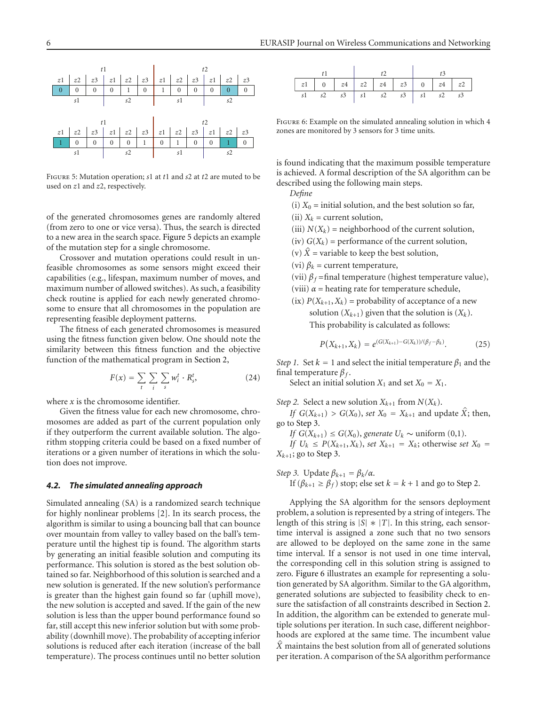

<span id="page-5-0"></span>Figure 5: Mutation operation; *s*1 at *t*1 and *s*2 at *t*2 are muted to be used on *z*1 and *z*2, respectively.

of the generated chromosomes genes are randomly altered (from zero to one or vice versa). Thus, the search is directed to a new area in the search space. [Figure 5](#page-5-0) depicts an example of the mutation step for a single chromosome.

Crossover and mutation operations could result in unfeasible chromosomes as some sensors might exceed their capabilities (e.g., lifespan, maximum number of moves, and maximum number of allowed switches). As such, a feasibility check routine is applied for each newly generated chromosome to ensure that all chromosomes in the population are representing feasible deployment patterns.

The fitness of each generated chromosomes is measured using the fitness function given below. One should note the similarity between this fitness function and the objective function of the mathematical program in [Section 2,](#page-1-0)

$$
F(x) = \sum_{t} \sum_{i} \sum_{s} w_i^t \cdot R_s^t, \qquad (24)
$$

where *x* is the chromosome identifier.

Given the fitness value for each new chromosome, chromosomes are added as part of the current population only if they outperform the current available solution. The algorithm stopping criteria could be based on a fixed number of iterations or a given number of iterations in which the solution does not improve.

## *4.2. The simulated annealing approach*

Simulated annealing (SA) is a randomized search technique for highly nonlinear problems [\[2\]](#page-12-13). In its search process, the algorithm is similar to using a bouncing ball that can bounce over mountain from valley to valley based on the ball's temperature until the highest tip is found. The algorithm starts by generating an initial feasible solution and computing its performance. This solution is stored as the best solution obtained so far. Neighborhood of this solution is searched and a new solution is generated. If the new solution's performance is greater than the highest gain found so far (uphill move), the new solution is accepted and saved. If the gain of the new solution is less than the upper bound performance found so far, still accept this new inferior solution but with some probability (downhill move). The probability of accepting inferior solutions is reduced after each iteration (increase of the ball temperature). The process continues until no better solution

|    |  |  |                                                      |  |  |  | $z1 \mid 0 \mid z4 \mid z2 \mid z4 \mid z3 \mid 0 \mid z4 \mid z2 \mid$ |
|----|--|--|------------------------------------------------------|--|--|--|-------------------------------------------------------------------------|
| sl |  |  | $s3 \mid s1 \mid s2 \mid s3 \mid s1 \mid s2 \mid s3$ |  |  |  |                                                                         |

<span id="page-5-3"></span>FIGURE 6: Example on the simulated annealing solution in which 4 zones are monitored by 3 sensors for 3 time units.

is found indicating that the maximum possible temperature is achieved. A formal description of the SA algorithm can be described using the following main steps.

*Define*

(i)  $X_0$  = initial solution, and the best solution so far,

(ii)  $X_k$  = current solution,

(iii)  $N(X_k)$  = neighborhood of the current solution,

(iv)  $G(X_k)$  = performance of the current solution,

(v)  $\hat{X}$  = variable to keep the best solution,

- (vi)  $\beta_k$  = current temperature,
- (vii)  $\beta_f$  =final temperature (highest temperature value),
- (viii)  $\alpha$  = heating rate for temperature schedule,
- (ix)  $P(X_{k+1}, X_k)$  = probability of acceptance of a new solution  $(X_{k+1})$  given that the solution is  $(X_k)$ . This probability is calculated as follows:

$$
P(X_{k+1}, X_k) = e^{(G(X_{k+1}) - G(X_k))/(\beta_f - \beta_k)}.
$$
 (25)

*Step 1.* Set  $k = 1$  and select the initial temperature  $\beta_1$  and the final temperature  $\beta_f$ .

Select an initial solution  $X_1$  and set  $X_0 = X_1$ .

<span id="page-5-2"></span>*Step 2.* Select a new solution  $X_{k+1}$  from  $N(X_k)$ .

*If*  $G(X_{k+1}) > G(X_0)$ , *set*  $X_0 = X_{k+1}$  and update  $\hat{X}$ ; then, go to [Step 3.](#page-5-1)

*If*  $G(X_{k+1})$  ≤  $G(X_0)$ , *generate*  $U_k$  ∼ uniform  $(0,1)$ .

*If*  $U_k \leq P(X_{k+1}, X_k)$ , *set*  $X_{k+1} = X_k$ ; otherwise *set*  $X_0 =$  $X_{k+1}$ ; go to [Step 3.](#page-5-1)

<span id="page-5-1"></span>Step 3. Update 
$$
\beta_{k+1} = \beta_k/\alpha
$$
.  
If  $(\beta_{k+1} \ge \beta_f)$  stop; else set  $k = k + 1$  and go to Step 2.

Applying the SA algorithm for the sensors deployment problem, a solution is represented by a string of integers. The length of this string is  $|S| * |T|$ . In this string, each sensortime interval is assigned a zone such that no two sensors are allowed to be deployed on the same zone in the same time interval. If a sensor is not used in one time interval, the corresponding cell in this solution string is assigned to zero. [Figure 6](#page-5-3) illustrates an example for representing a solution generated by SA algorithm. Similar to the GA algorithm, generated solutions are subjected to feasibility check to ensure the satisfaction of all constraints described in [Section 2.](#page-1-0) In addition, the algorithm can be extended to generate multiple solutions per iteration. In such case, different neighborhoods are explored at the same time. The incumbent value  $\hat{X}$  maintains the best solution from all of generated solutions per iteration. A comparison of the SA algorithm performance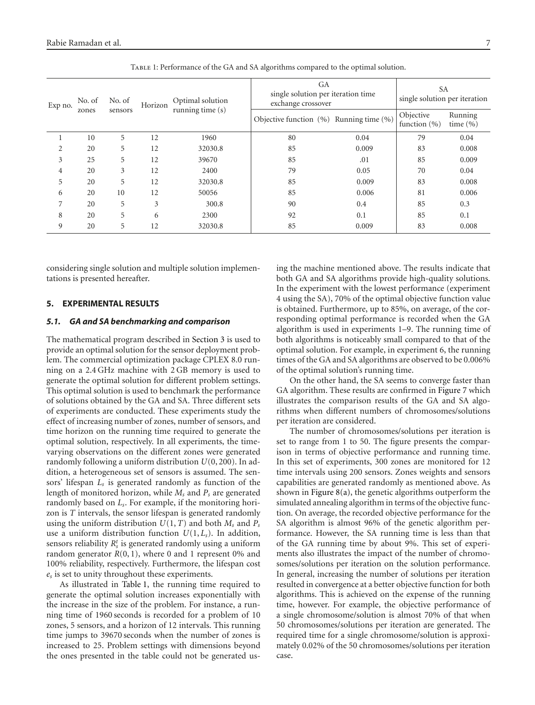| Exp no.        | No. of<br>zones | No. of<br>sensors | Horizon | Optimal solution<br>running time (s) | <b>GA</b><br>single solution per iteration time<br>exchange crossover | <b>SA</b><br>single solution per iteration |                               |                         |
|----------------|-----------------|-------------------|---------|--------------------------------------|-----------------------------------------------------------------------|--------------------------------------------|-------------------------------|-------------------------|
|                |                 |                   |         |                                      | Objective function $(\%)$ Running time $(\%)$                         |                                            | Objective<br>function $(\% )$ | Running<br>time $(\% )$ |
|                | 10              | 5                 | 12      | 1960                                 | 80                                                                    | 0.04                                       | 79                            | 0.04                    |
| $\overline{2}$ | 20              | 5                 | 12      | 32030.8                              | 85                                                                    | 0.009                                      | 83                            | 0.008                   |
| 3              | 25              | 5                 | 12      | 39670                                | 85                                                                    | .01                                        | 85                            | 0.009                   |
| 4              | 20              | 3                 | 12      | 2400                                 | 79                                                                    | 0.05                                       | 70                            | 0.04                    |
| 5              | 20              | 5                 | 12      | 32030.8                              | 85                                                                    | 0.009                                      | 83                            | 0.008                   |
| 6              | 20              | 10                | 12      | 50056                                | 85                                                                    | 0.006                                      | 81                            | 0.006                   |
| −              | 20              | 5                 | 3       | 300.8                                | 90                                                                    | 0.4                                        | 85                            | 0.3                     |
| 8              | 20              | 5                 | 6       | 2300                                 | 92                                                                    | 0.1                                        | 85                            | 0.1                     |
| 9              | 20              | 5                 | 12      | 32030.8                              | 85                                                                    | 0.009                                      | 83                            | 0.008                   |

<span id="page-6-1"></span>Table 1: Performance of the GA and SA algorithms compared to the optimal solution.

considering single solution and multiple solution implementations is presented hereafter.

# <span id="page-6-0"></span>**5. EXPERIMENTAL RESULTS**

# *5.1. GA and SA benchmarking and comparison*

The mathematical program described in [Section 3](#page-2-0) is used to provide an optimal solution for the sensor deployment problem. The commercial optimization package CPLEX 8.0 running on a 2.4 GHz machine with 2 GB memory is used to generate the optimal solution for different problem settings. This optimal solution is used to benchmark the performance of solutions obtained by the GA and SA. Three different sets of experiments are conducted. These experiments study the effect of increasing number of zones, number of sensors, and time horizon on the running time required to generate the optimal solution, respectively. In all experiments, the timevarying observations on the different zones were generated randomly following a uniform distribution *U*(0, 200). In addition, a heterogeneous set of sensors is assumed. The sensors' lifespan *Ls* is generated randomly as function of the length of monitored horizon, while *Ms* and *Ps* are generated randomly based on *Ls*. For example, if the monitoring horizon is *T* intervals, the sensor lifespan is generated randomly using the uniform distribution  $U(1, T)$  and both  $M_s$  and  $P_s$ use a uniform distribution function  $U(1, L_s)$ . In addition, sensors reliability  $R_s^t$  is generated randomly using a uniform random generator  $R(0, 1)$ , where 0 and 1 represent 0% and 100% reliability, respectively. Furthermore, the lifespan cost *es* is set to unity throughout these experiments.

As illustrated in [Table 1,](#page-6-1) the running time required to generate the optimal solution increases exponentially with the increase in the size of the problem. For instance, a running time of 1960 seconds is recorded for a problem of 10 zones, 5 sensors, and a horizon of 12 intervals. This running time jumps to 39670 seconds when the number of zones is increased to 25. Problem settings with dimensions beyond the ones presented in the table could not be generated using the machine mentioned above. The results indicate that both GA and SA algorithms provide high-quality solutions. In the experiment with the lowest performance (experiment 4 using the SA), 70% of the optimal objective function value is obtained. Furthermore, up to 85%, on average, of the corresponding optimal performance is recorded when the GA algorithm is used in experiments 1–9. The running time of both algorithms is noticeably small compared to that of the optimal solution. For example, in experiment 6, the running times of the GA and SA algorithms are observed to be 0.006% of the optimal solution's running time.

On the other hand, the SA seems to converge faster than GA algorithm. These results are confirmed in [Figure 7](#page-7-0) which illustrates the comparison results of the GA and SA algorithms when different numbers of chromosomes/solutions per iteration are considered.

The number of chromosomes/solutions per iteration is set to range from 1 to 50. The figure presents the comparison in terms of objective performance and running time. In this set of experiments, 300 zones are monitored for 12 time intervals using 200 sensors. Zones weights and sensors capabilities are generated randomly as mentioned above. As shown in [Figure 8\(a\),](#page-7-1) the genetic algorithms outperform the simulated annealing algorithm in terms of the objective function. On average, the recorded objective performance for the SA algorithm is almost 96% of the genetic algorithm performance. However, the SA running time is less than that of the GA running time by about 9%. This set of experiments also illustrates the impact of the number of chromosomes/solutions per iteration on the solution performance. In general, increasing the number of solutions per iteration resulted in convergence at a better objective function for both algorithms. This is achieved on the expense of the running time, however. For example, the objective performance of a single chromosome/solution is almost 70% of that when 50 chromosomes/solutions per iteration are generated. The required time for a single chromosome/solution is approximately 0.02% of the 50 chromosomes/solutions per iteration case.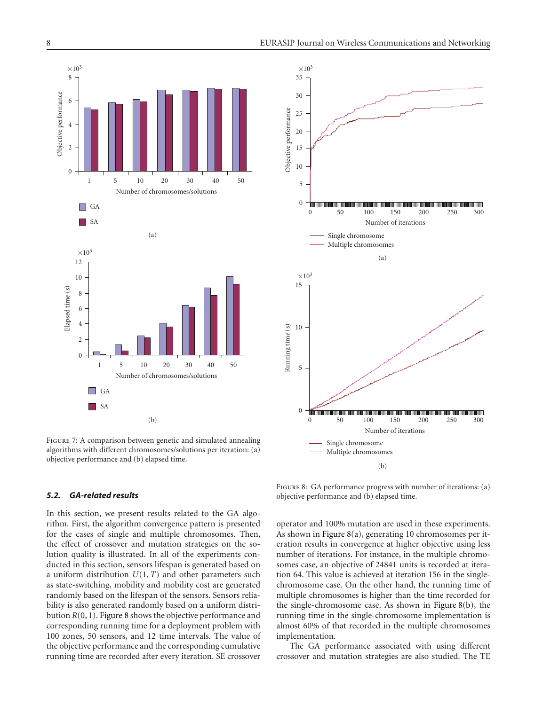



<span id="page-7-0"></span>FIGURE 7: A comparison between genetic and simulated annealing algorithms with different chromosomes/solutions per iteration: (a) objective performance and (b) elapsed time.

# <span id="page-7-4"></span>*5.2. GA-related results*

In this section, we present results related to the GA algorithm. First, the algorithm convergence pattern is presented for the cases of single and multiple chromosomes. Then, the effect of crossover and mutation strategies on the solution quality is illustrated. In all of the experiments conducted in this section, sensors lifespan is generated based on a uniform distribution *U*(1,*T*) and other parameters such as state-switching, mobility and mobility cost are generated randomly based on the lifespan of the sensors. Sensors reliability is also generated randomly based on a uniform distribution *R*(0, 1). [Figure 8](#page-7-2) shows the objective performance and corresponding running time for a deployment problem with 100 zones, 50 sensors, and 12 time intervals. The value of the objective performance and the corresponding cumulative running time are recorded after every iteration. SE crossover

<span id="page-7-1"></span>

<span id="page-7-3"></span><span id="page-7-2"></span>FIGURE 8: GA performance progress with number of iterations: (a) objective performance and (b) elapsed time.

operator and 100% mutation are used in these experiments. As shown in [Figure 8\(a\),](#page-7-1) generating 10 chromosomes per iteration results in convergence at higher objective using less number of iterations. For instance, in the multiple chromosomes case, an objective of 24841 units is recorded at iteration 64. This value is achieved at iteration 156 in the singlechromosome case. On the other hand, the running time of multiple chromosomes is higher than the time recorded for the single-chromosome case. As shown in [Figure 8\(b\),](#page-7-3) the running time in the single-chromosome implementation is almost 60% of that recorded in the multiple chromosomes implementation.

The GA performance associated with using different crossover and mutation strategies are also studied. The TE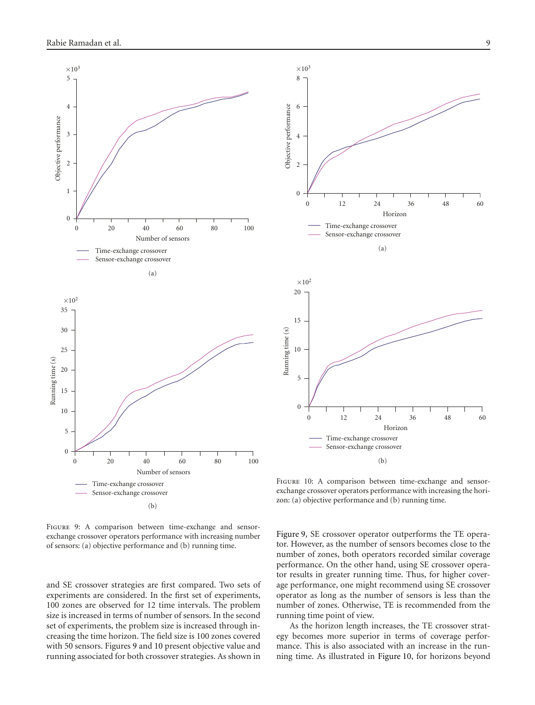<span id="page-8-2"></span>

<span id="page-8-3"></span>

zon: (a) objective performance and (b) running time.

 $\times10^3$ 

<span id="page-8-0"></span>FIGURE 9: A comparison between time-exchange and sensorexchange crossover operators performance with increasing number of sensors: (a) objective performance and (b) running time.

and SE crossover strategies are first compared. Two sets of experiments are considered. In the first set of experiments, 100 zones are observed for 12 time intervals. The problem size is increased in terms of number of sensors. In the second set of experiments, the problem size is increased through increasing the time horizon. The field size is 100 zones covered with 50 sensors. Figures [9](#page-8-0) and [10](#page-8-1) present objective value and running associated for both crossover strategies. As shown in

[Figure 9,](#page-8-0) SE crossover operator outperforms the TE operator. However, as the number of sensors becomes close to the number of zones, both operators recorded similar coverage performance. On the other hand, using SE crossover operator results in greater running time. Thus, for higher coverage performance, one might recommend using SE crossover operator as long as the number of sensors is less than the number of zones. Otherwise, TE is recommended from the running time point of view.

<span id="page-8-1"></span>exchange crossover operators performance with increasing the hori-

As the horizon length increases, the TE crossover strategy becomes more superior in terms of coverage performance. This is also associated with an increase in the running time. As illustrated in [Figure 10,](#page-8-1) for horizons beyond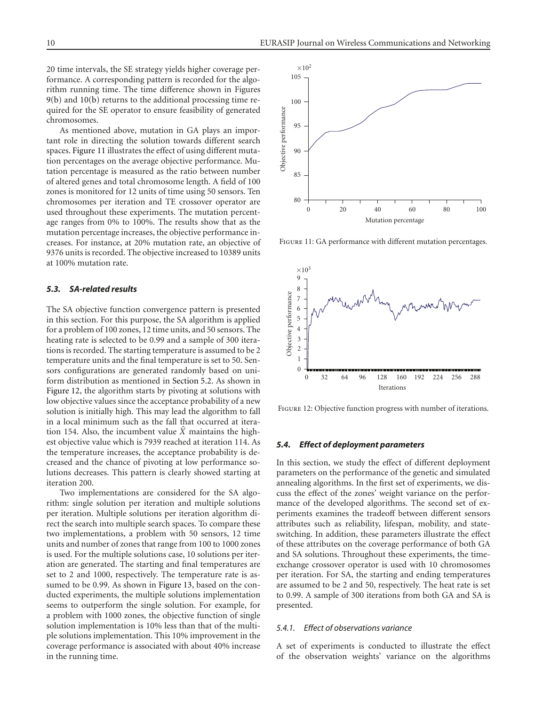20 time intervals, the SE strategy yields higher coverage performance. A corresponding pattern is recorded for the algorithm running time. The time difference shown in Figures [9\(b\)](#page-8-2) and [10\(b\)](#page-8-3) returns to the additional processing time required for the SE operator to ensure feasibility of generated chromosomes.

As mentioned above, mutation in GA plays an important role in directing the solution towards different search spaces. [Figure 11](#page-9-0) illustrates the effect of using different mutation percentages on the average objective performance. Mutation percentage is measured as the ratio between number of altered genes and total chromosome length. A field of 100 zones is monitored for 12 units of time using 50 sensors. Ten chromosomes per iteration and TE crossover operator are used throughout these experiments. The mutation percentage ranges from 0% to 100%. The results show that as the mutation percentage increases, the objective performance increases. For instance, at 20% mutation rate, an objective of 9376 units is recorded. The objective increased to 10389 units at 100% mutation rate.

#### *5.3. SA-related results*

The SA objective function convergence pattern is presented in this section. For this purpose, the SA algorithm is applied for a problem of 100 zones, 12 time units, and 50 sensors. The heating rate is selected to be 0.99 and a sample of 300 iterations is recorded. The starting temperature is assumed to be 2 temperature units and the final temperature is set to 50. Sensors configurations are generated randomly based on uniform distribution as mentioned in [Section 5.2.](#page-7-4) As shown in [Figure 12,](#page-9-1) the algorithm starts by pivoting at solutions with low objective values since the acceptance probability of a new solution is initially high. This may lead the algorithm to fall in a local minimum such as the fall that occurred at iteration 154. Also, the incumbent value  $\hat{X}$  maintains the highest objective value which is 7939 reached at iteration 114. As the temperature increases, the acceptance probability is decreased and the chance of pivoting at low performance solutions decreases. This pattern is clearly showed starting at iteration 200.

Two implementations are considered for the SA algorithm: single solution per iteration and multiple solutions per iteration. Multiple solutions per iteration algorithm direct the search into multiple search spaces. To compare these two implementations, a problem with 50 sensors, 12 time units and number of zones that range from 100 to 1000 zones is used. For the multiple solutions case, 10 solutions per iteration are generated. The starting and final temperatures are set to 2 and 1000, respectively. The temperature rate is assumed to be 0.99. As shown in [Figure 13,](#page-10-0) based on the conducted experiments, the multiple solutions implementation seems to outperform the single solution. For example, for a problem with 1000 zones, the objective function of single solution implementation is 10% less than that of the multiple solutions implementation. This 10% improvement in the coverage performance is associated with about 40% increase in the running time.



FIGURE 11: GA performance with different mutation percentages.

<span id="page-9-0"></span>

<span id="page-9-1"></span>Figure 12: Objective function progress with number of iterations.

#### *5.4. Effect of deployment parameters*

In this section, we study the effect of different deployment parameters on the performance of the genetic and simulated annealing algorithms. In the first set of experiments, we discuss the effect of the zones' weight variance on the performance of the developed algorithms. The second set of experiments examines the tradeoff between different sensors attributes such as reliability, lifespan, mobility, and stateswitching. In addition, these parameters illustrate the effect of these attributes on the coverage performance of both GA and SA solutions. Throughout these experiments, the timeexchange crossover operator is used with 10 chromosomes per iteration. For SA, the starting and ending temperatures are assumed to be 2 and 50, respectively. The heat rate is set to 0.99. A sample of 300 iterations from both GA and SA is presented.

## *5.4.1. Effect of observations variance*

A set of experiments is conducted to illustrate the effect of the observation weights' variance on the algorithms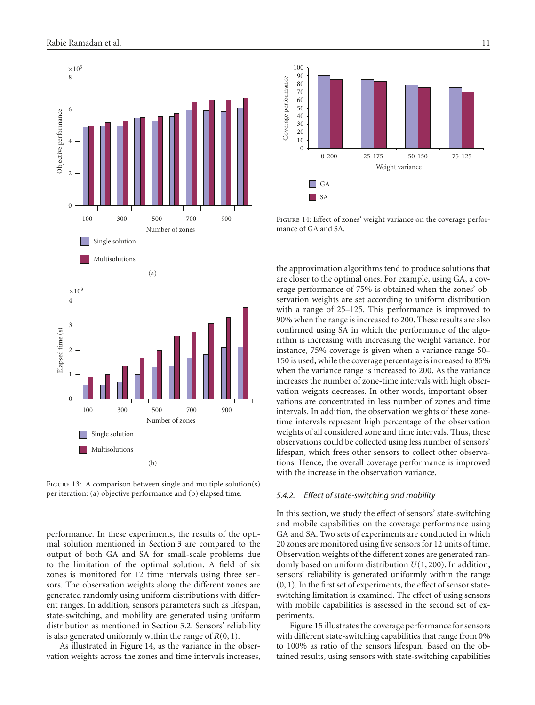

<span id="page-10-0"></span>FIGURE 13: A comparison between single and multiple solution(s) per iteration: (a) objective performance and (b) elapsed time.

performance. In these experiments, the results of the optimal solution mentioned in [Section 3](#page-2-0) are compared to the output of both GA and SA for small-scale problems due to the limitation of the optimal solution. A field of six zones is monitored for 12 time intervals using three sensors. The observation weights along the different zones are generated randomly using uniform distributions with different ranges. In addition, sensors parameters such as lifespan, state-switching, and mobility are generated using uniform distribution as mentioned in [Section 5.2.](#page-7-4) Sensors' reliability is also generated uniformly within the range of *R*(0, 1).

As illustrated in [Figure 14,](#page-10-1) as the variance in the observation weights across the zones and time intervals increases,



<span id="page-10-1"></span>FIGURE 14: Effect of zones' weight variance on the coverage performance of GA and SA.

the approximation algorithms tend to produce solutions that are closer to the optimal ones. For example, using GA, a coverage performance of 75% is obtained when the zones' observation weights are set according to uniform distribution with a range of 25–125. This performance is improved to 90% when the range is increased to 200. These results are also confirmed using SA in which the performance of the algorithm is increasing with increasing the weight variance. For instance, 75% coverage is given when a variance range 50– 150 is used, while the coverage percentage is increased to 85% when the variance range is increased to 200. As the variance increases the number of zone-time intervals with high observation weights decreases. In other words, important observations are concentrated in less number of zones and time intervals. In addition, the observation weights of these zonetime intervals represent high percentage of the observation weights of all considered zone and time intervals. Thus, these observations could be collected using less number of sensors' lifespan, which frees other sensors to collect other observations. Hence, the overall coverage performance is improved with the increase in the observation variance.

## <span id="page-10-2"></span>*5.4.2. Effect of state-switching and mobility*

In this section, we study the effect of sensors' state-switching and mobile capabilities on the coverage performance using GA and SA. Two sets of experiments are conducted in which 20 zones are monitored using five sensors for 12 units of time. Observation weights of the different zones are generated randomly based on uniform distribution *U*(1, 200). In addition, sensors' reliability is generated uniformly within the range  $(0, 1)$ . In the first set of experiments, the effect of sensor stateswitching limitation is examined. The effect of using sensors with mobile capabilities is assessed in the second set of experiments.

[Figure 15](#page-11-0) illustrates the coverage performance for sensors with different state-switching capabilities that range from 0% to 100% as ratio of the sensors lifespan. Based on the obtained results, using sensors with state-switching capabilities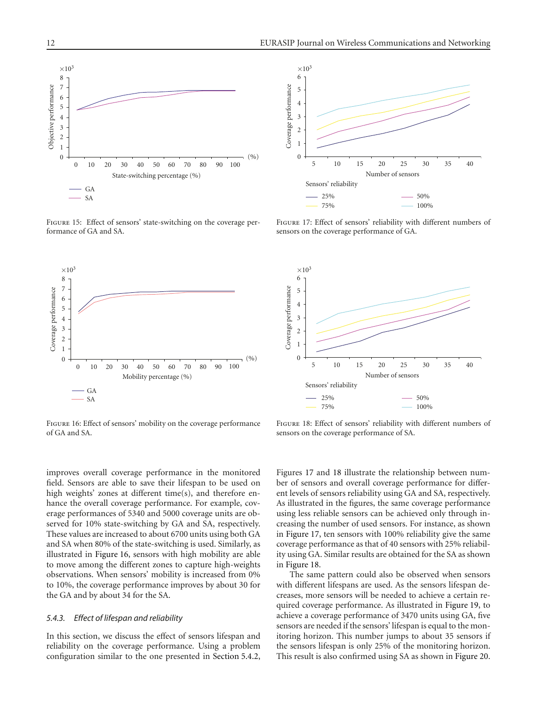

<span id="page-11-0"></span>Figure 15: Effect of sensors' state-switching on the coverage performance of GA and SA.



<span id="page-11-1"></span>Figure 16: Effect of sensors' mobility on the coverage performance of GA and SA.



<span id="page-11-2"></span>Figure 17: Effect of sensors' reliability with different numbers of sensors on the coverage performance of GA.



<span id="page-11-3"></span>Figure 18: Effect of sensors' reliability with different numbers of sensors on the coverage performance of SA.

improves overall coverage performance in the monitored field. Sensors are able to save their lifespan to be used on high weights' zones at different time(s), and therefore enhance the overall coverage performance. For example, coverage performances of 5340 and 5000 coverage units are observed for 10% state-switching by GA and SA, respectively. These values are increased to about 6700 units using both GA and SA when 80% of the state-switching is used. Similarly, as illustrated in [Figure 16,](#page-11-1) sensors with high mobility are able to move among the different zones to capture high-weights observations. When sensors' mobility is increased from 0% to 10%, the coverage performance improves by about 30 for the GA and by about 34 for the SA.

## *5.4.3. Effect of lifespan and reliability*

In this section, we discuss the effect of sensors lifespan and reliability on the coverage performance. Using a problem configuration similar to the one presented in [Section 5.4.2,](#page-10-2) Figures [17](#page-11-2) and [18](#page-11-3) illustrate the relationship between number of sensors and overall coverage performance for different levels of sensors reliability using GA and SA, respectively. As illustrated in the figures, the same coverage performance using less reliable sensors can be achieved only through increasing the number of used sensors. For instance, as shown in [Figure 17,](#page-11-2) ten sensors with 100% reliability give the same coverage performance as that of 40 sensors with 25% reliability using GA. Similar results are obtained for the SA as shown in [Figure 18.](#page-11-3)

The same pattern could also be observed when sensors with different lifespans are used. As the sensors lifespan decreases, more sensors will be needed to achieve a certain required coverage performance. As illustrated in [Figure 19,](#page-12-14) to achieve a coverage performance of 3470 units using GA, five sensors are needed if the sensors' lifespan is equal to the monitoring horizon. This number jumps to about 35 sensors if the sensors lifespan is only 25% of the monitoring horizon. This result is also confirmed using SA as shown in [Figure 20.](#page-12-15)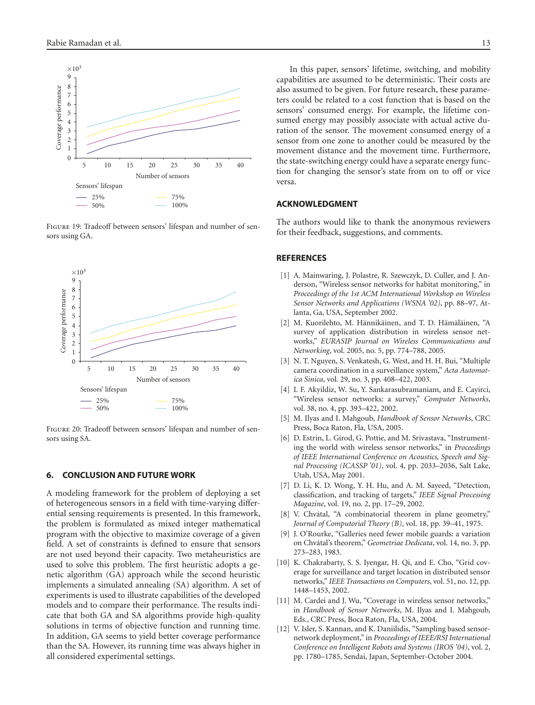

<span id="page-12-14"></span>Figure 19: Tradeoff between sensors' lifespan and number of sensors using GA.



<span id="page-12-15"></span>Figure 20: Tradeoff between sensors' lifespan and number of sensors using SA.

## <span id="page-12-12"></span>**6. CONCLUSION AND FUTURE WORK**

A modeling framework for the problem of deploying a set of heterogeneous sensors in a field with time-varying differential sensing requirements is presented. In this framework, the problem is formulated as mixed integer mathematical program with the objective to maximize coverage of a given field. A set of constraints is defined to ensure that sensors are not used beyond their capacity. Two metaheuristics are used to solve this problem. The first heuristic adopts a genetic algorithm (GA) approach while the second heuristic implements a simulated annealing (SA) algorithm. A set of experiments is used to illustrate capabilities of the developed models and to compare their performance. The results indicate that both GA and SA algorithms provide high-quality solutions in terms of objective function and running time. In addition, GA seems to yield better coverage performance than the SA. However, its running time was always higher in all considered experimental settings.

In this paper, sensors' lifetime, switching, and mobility capabilities are assumed to be deterministic. Their costs are also assumed to be given. For future research, these parameters could be related to a cost function that is based on the sensors' consumed energy. For example, the lifetime consumed energy may possibly associate with actual active duration of the sensor. The movement consumed energy of a sensor from one zone to another could be measured by the movement distance and the movement time. Furthermore, the state-switching energy could have a separate energy function for changing the sensor's state from on to off or vice versa.

## **ACKNOWLEDGMENT**

The authors would like to thank the anonymous reviewers for their feedback, suggestions, and comments.

# <span id="page-12-1"></span><span id="page-12-0"></span>**REFERENCES**

- [1] A. Mainwaring, J. Polastre, R. Szewczyk, D. Culler, and J. Anderson, "Wireless sensor networks for habitat monitoring," in *Proceedings of the 1st ACM International Workshop on Wireless Sensor Networks and Applications (WSNA '02)*, pp. 88–97, Atlanta, Ga, USA, September 2002.
- <span id="page-12-13"></span>[2] M. Kuorilehto, M. Hännikäinen, and T. D. Hämäläinen, "A survey of application distribution in wireless sensor networks," *EURASIP Journal on Wireless Communications and Networking*, vol. 2005, no. 5, pp. 774–788, 2005.
- <span id="page-12-2"></span>[3] N. T. Nguyen, S. Venkatesh, G. West, and H. H. Bui, "Multiple camera coordination in a surveillance system," *Acta Automatica Sinica*, vol. 29, no. 3, pp. 408–422, 2003.
- <span id="page-12-3"></span>[4] I. F. Akyildiz, W. Su, Y. Sankarasubramaniam, and E. Cayirci, "Wireless sensor networks: a survey," *Computer Networks*, vol. 38, no. 4, pp. 393–422, 2002.
- <span id="page-12-4"></span>[5] M. Ilyas and I. Mahgoub, *Handbook of Sensor Networks*, CRC Press, Boca Raton, Fla, USA, 2005.
- <span id="page-12-5"></span>[6] D. Estrin, L. Girod, G. Pottie, and M. Srivastava, "Instrumenting the world with wireless sensor networks," in *Proceedings of IEEE International Conference on Acoustics, Speech and Signal Processing (ICASSP '01)*, vol. 4, pp. 2033–2036, Salt Lake, Utah, USA, May 2001.
- <span id="page-12-6"></span>[7] D. Li, K. D. Wong, Y. H. Hu, and A. M. Sayeed, "Detection, classification, and tracking of targets," *IEEE Signal Processing Magazine*, vol. 19, no. 2, pp. 17–29, 2002.
- <span id="page-12-7"></span>[8] V. Chvátal, "A combinatorial theorem in plane geometry," *Journal of Computorial Theory (B)*, vol. 18, pp. 39–41, 1975.
- <span id="page-12-8"></span>[9] J. O'Rourke, "Galleries need fewer mobile guards: a variation on Chvátal's theorem," *Geometriae Dedicata*, vol. 14, no. 3, pp. 273–283, 1983.
- <span id="page-12-9"></span>[10] K. Chakrabarty, S. S. Iyengar, H. Qi, and E. Cho, "Grid coverage for surveillance and target location in distributed sensor networks," *IEEE Transactions on Computers*, vol. 51, no. 12, pp. 1448–1453, 2002.
- <span id="page-12-10"></span>[11] M. Cardei and J. Wu, "Coverage in wireless sensor networks," in *Handbook of Sensor Networks*, M. Ilyas and I. Mahgoub, Eds., CRC Press, Boca Raton, Fla, USA, 2004.
- <span id="page-12-11"></span>[12] V. Isler, S. Kannan, and K. Daniilidis, "Sampling based sensornetwork deployment," in *Proceedings of IEEE/RSJ International Conference on Intelligent Robots and Systems (IROS '04)*, vol. 2, pp. 1780–1785, Sendai, Japan, September-October 2004.